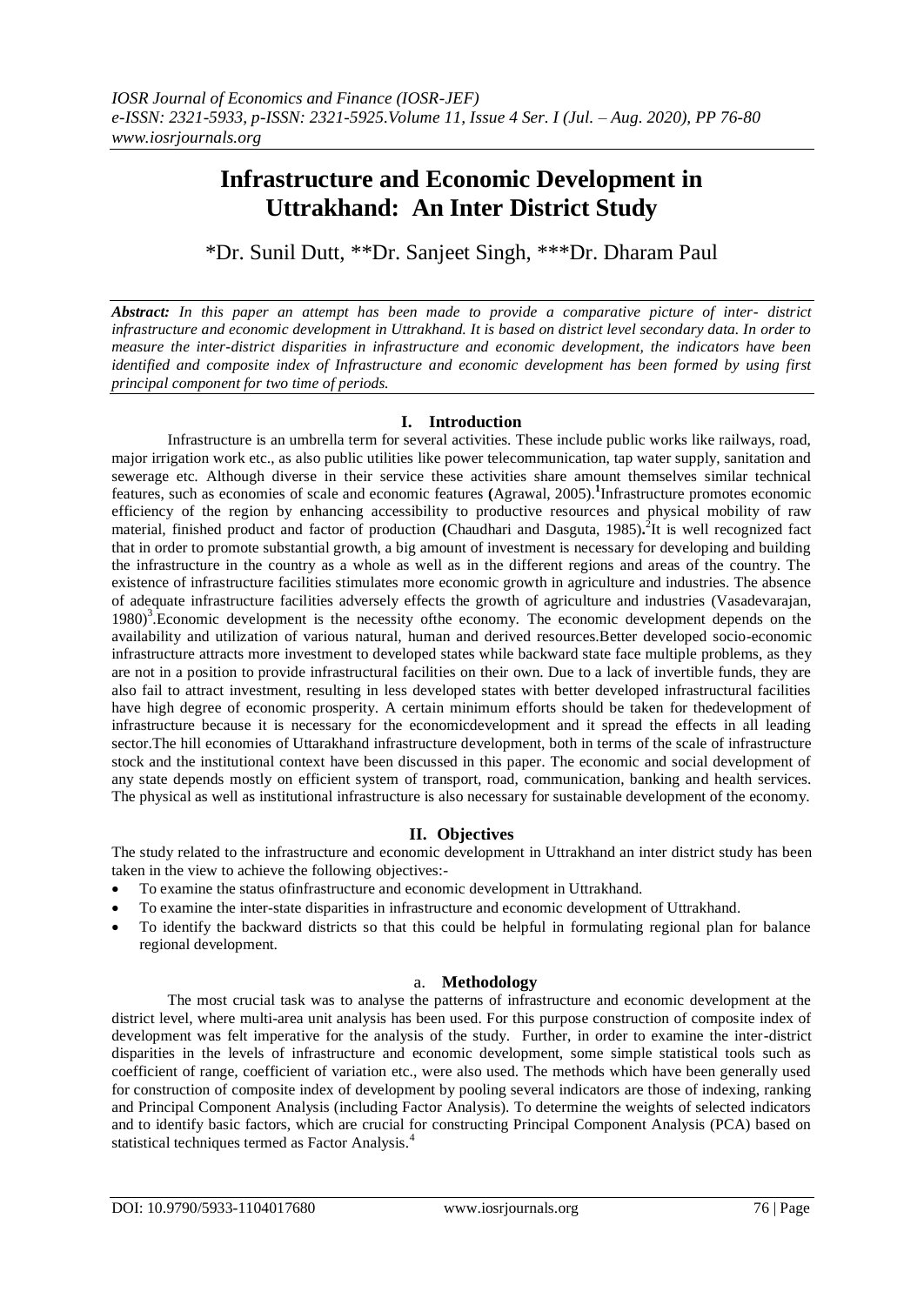# **Infrastructure and Economic Development in Uttrakhand: An Inter District Study**

\*Dr. Sunil Dutt, \*\*Dr. Sanjeet Singh, \*\*\*Dr. Dharam Paul

*Abstract: In this paper an attempt has been made to provide a comparative picture of inter- district infrastructure and economic development in Uttrakhand. It is based on district level secondary data. In order to measure the inter-district disparities in infrastructure and economic development, the indicators have been identified and composite index of Infrastructure and economic development has been formed by using first principal component for two time of periods.* 

## **I. Introduction**

Infrastructure is an umbrella term for several activities. These include public works like railways, road, major irrigation work etc., as also public utilities like power telecommunication, tap water supply, sanitation and sewerage etc. Although diverse in their service these activities share amount themselves similar technical features, such as economies of scale and economic features **(**Agrawal, 2005).**<sup>1</sup>** Infrastructure promotes economic efficiency of the region by enhancing accessibility to productive resources and physical mobility of raw material, finished product and factor of production (Chaudhari and Dasguta, 1985).<sup>2</sup>It is well recognized fact that in order to promote substantial growth, a big amount of investment is necessary for developing and building the infrastructure in the country as a whole as well as in the different regions and areas of the country. The existence of infrastructure facilities stimulates more economic growth in agriculture and industries. The absence of adequate infrastructure facilities adversely effects the growth of agriculture and industries (Vasadevarajan, 1980)<sup>3</sup>. Economic development is the necessity of the economy. The economic development depends on the availability and utilization of various natural, human and derived resources.Better developed socio-economic infrastructure attracts more investment to developed states while backward state face multiple problems, as they are not in a position to provide infrastructural facilities on their own. Due to a lack of invertible funds, they are also fail to attract investment, resulting in less developed states with better developed infrastructural facilities have high degree of economic prosperity. A certain minimum efforts should be taken for thedevelopment of infrastructure because it is necessary for the economicdevelopment and it spread the effects in all leading sector.The hill economies of Uttarakhand infrastructure development, both in terms of the scale of infrastructure stock and the institutional context have been discussed in this paper. The economic and social development of any state depends mostly on efficient system of transport, road, communication, banking and health services. The physical as well as institutional infrastructure is also necessary for sustainable development of the economy.

## **II. Objectives**

The study related to the infrastructure and economic development in Uttrakhand an inter district study has been taken in the view to achieve the following objectives:-

- To examine the status ofinfrastructure and economic development in Uttrakhand.
- To examine the inter-state disparities in infrastructure and economic development of Uttrakhand.
- To identify the backward districts so that this could be helpful in formulating regional plan for balance regional development.

## a. **Methodology**

The most crucial task was to analyse the patterns of infrastructure and economic development at the district level, where multi-area unit analysis has been used. For this purpose construction of composite index of development was felt imperative for the analysis of the study. Further, in order to examine the inter-district disparities in the levels of infrastructure and economic development, some simple statistical tools such as coefficient of range, coefficient of variation etc., were also used. The methods which have been generally used for construction of composite index of development by pooling several indicators are those of indexing, ranking and Principal Component Analysis (including Factor Analysis). To determine the weights of selected indicators and to identify basic factors, which are crucial for constructing Principal Component Analysis (PCA) based on statistical techniques termed as Factor Analysis.<sup>4</sup>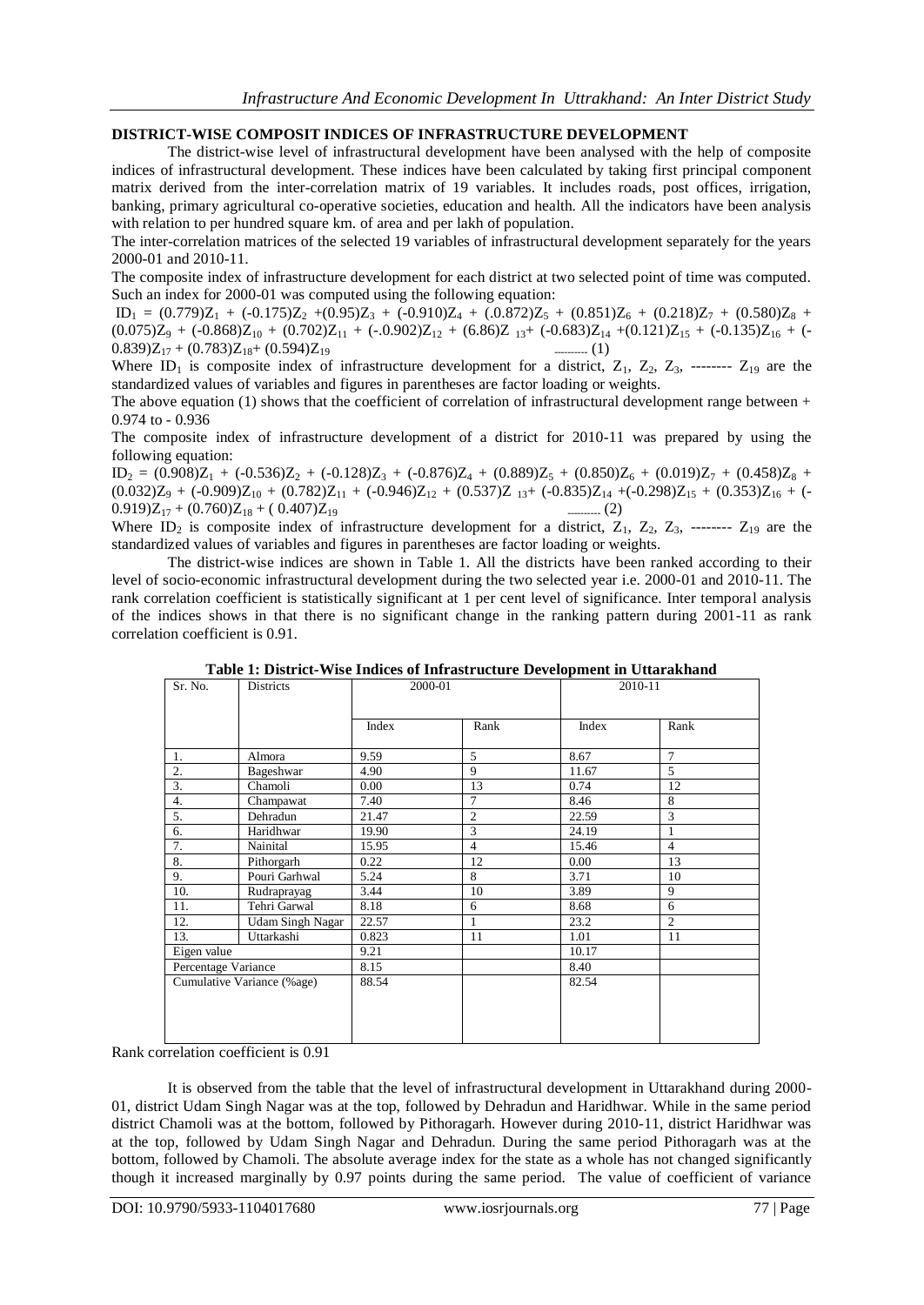### **DISTRICT-WISE COMPOSIT INDICES OF INFRASTRUCTURE DEVELOPMENT**

The district-wise level of infrastructural development have been analysed with the help of composite indices of infrastructural development. These indices have been calculated by taking first principal component matrix derived from the inter-correlation matrix of 19 variables. It includes roads, post offices, irrigation, banking, primary agricultural co-operative societies, education and health. All the indicators have been analysis with relation to per hundred square km. of area and per lakh of population.

The inter-correlation matrices of the selected 19 variables of infrastructural development separately for the years 2000-01 and 2010-11.

The composite index of infrastructure development for each district at two selected point of time was computed. Such an index for 2000-01 was computed using the following equation:

 $ID_1 = (0.779)Z_1 + (-0.175)Z_2 + (0.95)Z_3 + (-0.910)Z_4 + (.0.872)Z_5 + (0.851)Z_6 + (0.218)Z_7 + (0.580)Z_8 +$  $(0.075)Z_9 + (-0.868)Z_{10} + (0.702)Z_{11} + (-0.902)Z_{12} + (6.86)Z_{13} + (-0.683)Z_{14} + (0.121)Z_{15} + (-0.135)Z_{16} + (-0.135)Z_{17}$  $0.839)Z_{17} + (0.783)Z_{18} + (0.594)Z_{19}$  ---------- (1)

Where  $ID_1$  is composite index of infrastructure development for a district,  $Z_1$ ,  $Z_2$ ,  $Z_3$ , --------  $Z_{19}$  are the standardized values of variables and figures in parentheses are factor loading or weights.

The above equation (1) shows that the coefficient of correlation of infrastructural development range between  $+$ 0.974 to - 0.936

The composite index of infrastructure development of a district for 2010-11 was prepared by using the following equation:

 $ID_2 = (0.908)Z_1 + (-0.536)Z_2 + (-0.128)Z_3 + (-0.876)Z_4 + (0.889)Z_5 + (0.850)Z_6 + (0.019)Z_7 + (0.458)Z_8 +$  $(0.032)Z_9 + (-0.909)Z_{10} + (0.782)Z_{11} + (-0.946)Z_{12} + (0.537)Z_{13} + (-0.835)Z_{14} + (-0.298)Z_{15} + (0.353)Z_{16} + (-0.999)Z_{17}$  $0.919)Z_{17} + (0.760)Z_{18} + (0.407)Z_{19}$  ---------- (2)

Where  $ID_2$  is composite index of infrastructure development for a district,  $Z_1$ ,  $Z_2$ ,  $Z_3$ , --------  $Z_{19}$  are the standardized values of variables and figures in parentheses are factor loading or weights.

The district-wise indices are shown in Table 1. All the districts have been ranked according to their level of socio-economic infrastructural development during the two selected year i.e. 2000-01 and 2010-11. The rank correlation coefficient is statistically significant at 1 per cent level of significance. Inter temporal analysis of the indices shows in that there is no significant change in the ranking pattern during 2001-11 as rank correlation coefficient is 0.91.

| Sr. No.                    | Districts        | Table 1. District was finales of finitastiacure Development in Ottafaxiland<br>2000-01 |                |       | 2010-11        |  |
|----------------------------|------------------|----------------------------------------------------------------------------------------|----------------|-------|----------------|--|
|                            |                  | Index                                                                                  | Rank           | Index | Rank           |  |
| 1.                         | Almora           | 9.59                                                                                   | 5              | 8.67  | $\tau$         |  |
| 2.                         | Bageshwar        | 4.90                                                                                   | 9              | 11.67 | $\mathfrak{F}$ |  |
| 3.                         | Chamoli          | 0.00                                                                                   | 13             | 0.74  | 12             |  |
| 4.                         | Champawat        | 7.40                                                                                   | 7              | 8.46  | 8              |  |
| 5.                         | Dehradun         | 21.47                                                                                  | $\overline{2}$ | 22.59 | 3              |  |
| 6.                         | Haridhwar        | 19.90                                                                                  | 3              | 24.19 |                |  |
| 7.                         | Nainital         | 15.95                                                                                  | $\overline{4}$ | 15.46 | $\overline{4}$ |  |
| 8.                         | Pithorgarh       | 0.22                                                                                   | 12             | 0.00  | 13             |  |
| 9.                         | Pouri Garhwal    | 5.24                                                                                   | 8              | 3.71  | 10             |  |
| 10.                        | Rudraprayag      | 3.44                                                                                   | 10             | 3.89  | 9              |  |
| 11.                        | Tehri Garwal     | 8.18                                                                                   | 6              | 8.68  | 6              |  |
| 12.                        | Udam Singh Nagar | 22.57                                                                                  | 1              | 23.2  | $\overline{c}$ |  |
| 13.                        | Uttarkashi       | 0.823                                                                                  | 11             | 1.01  | 11             |  |
| Eigen value                |                  | 9.21                                                                                   |                | 10.17 |                |  |
| Percentage Variance        |                  | 8.15                                                                                   |                | 8.40  |                |  |
| Cumulative Variance (%age) |                  | 88.54                                                                                  |                | 82.54 |                |  |
|                            |                  |                                                                                        |                |       |                |  |
|                            |                  |                                                                                        |                |       |                |  |
|                            |                  |                                                                                        |                |       |                |  |

**Table 1: District-Wise Indices of Infrastructure Development in Uttarakhand**

Rank correlation coefficient is 0.91

It is observed from the table that the level of infrastructural development in Uttarakhand during 2000- 01, district Udam Singh Nagar was at the top, followed by Dehradun and Haridhwar. While in the same period district Chamoli was at the bottom, followed by Pithoragarh. However during 2010-11, district Haridhwar was at the top, followed by Udam Singh Nagar and Dehradun. During the same period Pithoragarh was at the bottom, followed by Chamoli. The absolute average index for the state as a whole has not changed significantly though it increased marginally by 0.97 points during the same period. The value of coefficient of variance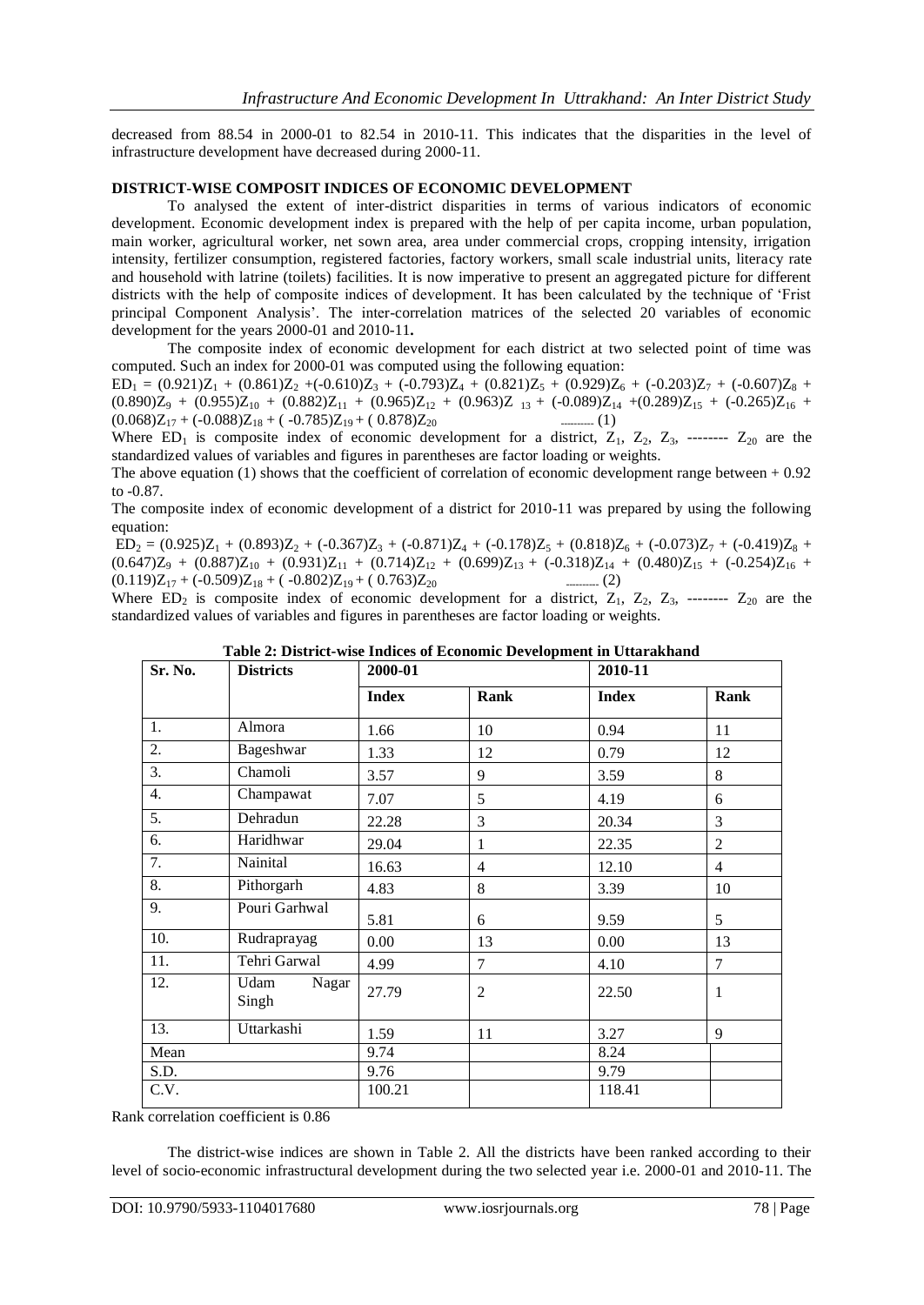decreased from 88.54 in 2000-01 to 82.54 in 2010-11. This indicates that the disparities in the level of infrastructure development have decreased during 2000-11.

#### **DISTRICT-WISE COMPOSIT INDICES OF ECONOMIC DEVELOPMENT**

To analysed the extent of inter-district disparities in terms of various indicators of economic development. Economic development index is prepared with the help of per capita income, urban population, main worker, agricultural worker, net sown area, area under commercial crops, cropping intensity, irrigation intensity, fertilizer consumption, registered factories, factory workers, small scale industrial units, literacy rate and household with latrine (toilets) facilities. It is now imperative to present an aggregated picture for different districts with the help of composite indices of development. It has been calculated by the technique of "Frist principal Component Analysis". The inter-correlation matrices of the selected 20 variables of economic development for the years 2000-01 and 2010-11**.**

The composite index of economic development for each district at two selected point of time was computed. Such an index for 2000-01 was computed using the following equation:

 $ED_1 = (0.921)Z_1 + (0.861)Z_2 + (-0.610)Z_3 + (-0.793)Z_4 + (0.821)Z_5 + (0.929)Z_6 + (-0.203)Z_7 + (-0.607)Z_8 +$  $(0.890)Z_9 + (0.955)Z_{10} + (0.882)Z_{11} + (0.965)Z_{12} + (0.963)Z_{13} + (-0.089)Z_{14} + (0.289)Z_{15} + (-0.265)Z_{16} +$  $(0.068)Z_{17} + (-0.088)Z_{18} + (-0.785)Z_{19} + (0.878)Z_{20}$  ---------- (1)

Where  $ED_1$  is composite index of economic development for a district,  $Z_1$ ,  $Z_2$ ,  $Z_3$ , --------  $Z_{20}$  are the standardized values of variables and figures in parentheses are factor loading or weights.

The above equation (1) shows that the coefficient of correlation of economic development range between  $+ 0.92$ to -0.87.

The composite index of economic development of a district for 2010-11 was prepared by using the following equation:

 $ED_2 = (0.925)Z_1 + (0.893)Z_2 + (-0.367)Z_3 + (-0.871)Z_4 + (-0.178)Z_5 + (0.818)Z_6 + (-0.073)Z_7 + (-0.419)Z_8 +$  $(0.647)Z_9 + (0.887)Z_{10} + (0.931)Z_{11} + (0.714)Z_{12} + (0.699)Z_{13} + (-0.318)Z_{14} + (0.480)Z_{15} + (-0.254)Z_{16} +$  $(0.119)Z_{17} + (-0.509)Z_{18} + (-0.802)Z_{19} + (0.763)Z_{20}$  ---------- (2)

Where  $ED_2$  is composite index of economic development for a district,  $Z_1$ ,  $Z_2$ ,  $Z_3$ , --------  $Z_{20}$  are the standardized values of variables and figures in parentheses are factor loading or weights.

| Sr. No. | <b>Districts</b>       | тале 2. District-wise murets of Economic Development in Ottarakinanu<br>2000-01 |                | 2010-11      |                |
|---------|------------------------|---------------------------------------------------------------------------------|----------------|--------------|----------------|
|         |                        | <b>Index</b>                                                                    | Rank           | <b>Index</b> | Rank           |
| 1.      | Almora                 | 1.66                                                                            | 10             | 0.94         | 11             |
| 2.      | Bageshwar              | 1.33                                                                            | 12             | 0.79         | 12             |
| 3.      | Chamoli                | 3.57                                                                            | 9              | 3.59         | 8              |
| 4.      | Champawat              | 7.07                                                                            | 5              | 4.19         | 6              |
| 5.      | Dehradun               | 22.28                                                                           | 3              | 20.34        | 3              |
| 6.      | Haridhwar              | 29.04                                                                           | 1              | 22.35        | $\overline{2}$ |
| 7.      | Nainital               | 16.63                                                                           | 4              | 12.10        | $\overline{4}$ |
| 8.      | Pithorgarh             | 4.83                                                                            | 8              | 3.39         | 10             |
| 9.      | Pouri Garhwal          | 5.81                                                                            | 6              | 9.59         | 5              |
| 10.     | Rudraprayag            | 0.00                                                                            | 13             | 0.00         | 13             |
| 11.     | Tehri Garwal           | 4.99                                                                            | $\overline{7}$ | 4.10         | $\overline{7}$ |
| 12.     | Udam<br>Nagar<br>Singh | 27.79                                                                           | 2              | 22.50        | $\mathbf{1}$   |
| 13.     | Uttarkashi             | 1.59                                                                            | 11             | 3.27         | 9              |
| Mean    |                        | 9.74                                                                            |                | 8.24         |                |
| S.D.    |                        | 9.76                                                                            |                | 9.79         |                |
| C.V.    |                        | 100.21                                                                          |                | 118.41       |                |

| Table 2: District-wise Indices of Economic Development in Uttarakhand |  |
|-----------------------------------------------------------------------|--|
|-----------------------------------------------------------------------|--|

Rank correlation coefficient is 0.86

The district-wise indices are shown in Table 2. All the districts have been ranked according to their level of socio-economic infrastructural development during the two selected year i.e. 2000-01 and 2010-11. The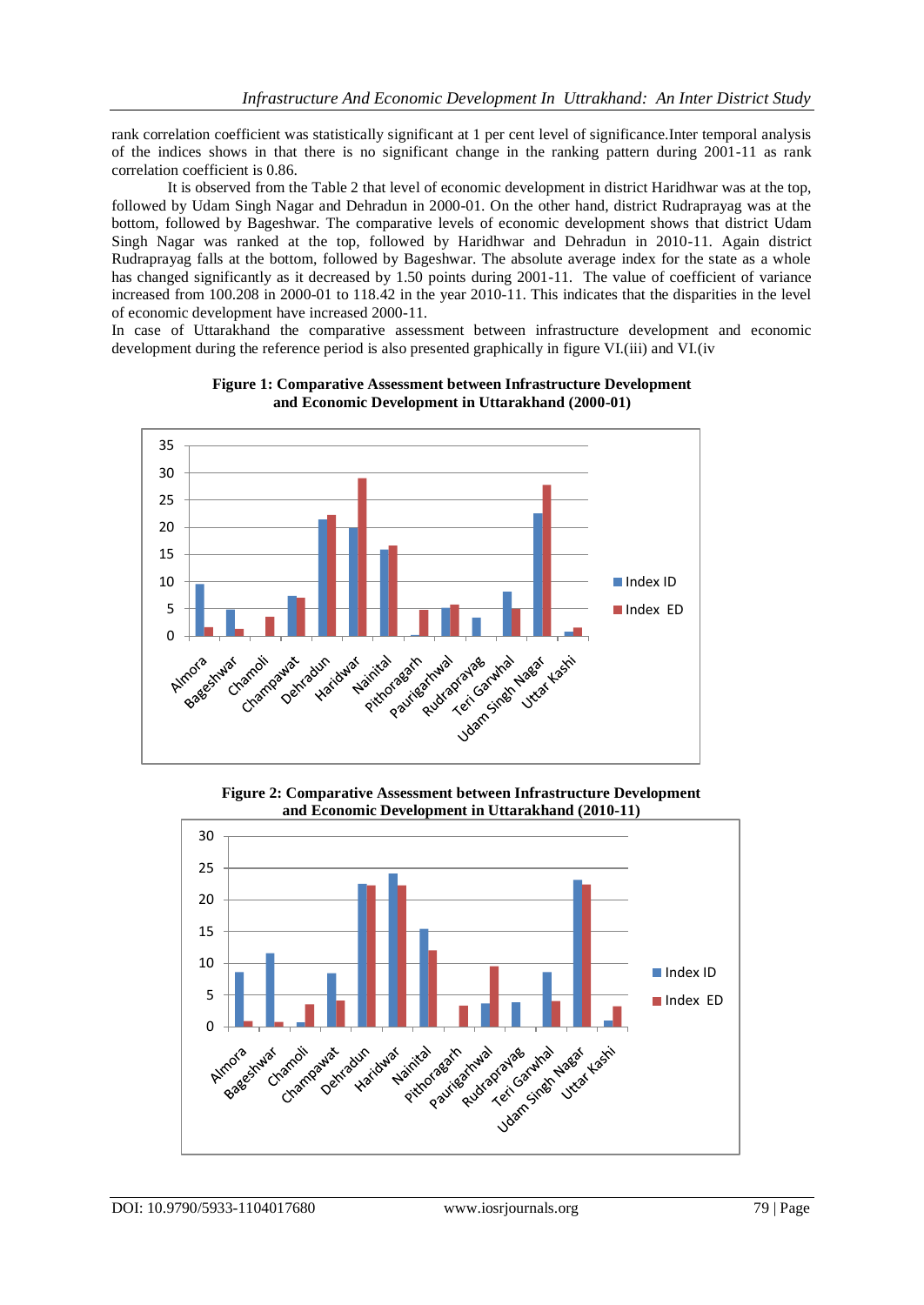rank correlation coefficient was statistically significant at 1 per cent level of significance.Inter temporal analysis of the indices shows in that there is no significant change in the ranking pattern during 2001-11 as rank correlation coefficient is 0.86.

It is observed from the Table 2 that level of economic development in district Haridhwar was at the top, followed by Udam Singh Nagar and Dehradun in 2000-01. On the other hand, district Rudraprayag was at the bottom, followed by Bageshwar. The comparative levels of economic development shows that district Udam Singh Nagar was ranked at the top, followed by Haridhwar and Dehradun in 2010-11. Again district Rudraprayag falls at the bottom, followed by Bageshwar. The absolute average index for the state as a whole has changed significantly as it decreased by 1.50 points during 2001-11. The value of coefficient of variance increased from 100.208 in 2000-01 to 118.42 in the year 2010-11. This indicates that the disparities in the level of economic development have increased 2000-11.

In case of Uttarakhand the comparative assessment between infrastructure development and economic development during the reference period is also presented graphically in figure VI.(iii) and VI.(iv



**Figure 1: Comparative Assessment between Infrastructure Development and Economic Development in Uttarakhand (2000-01)**

**Figure 2: Comparative Assessment between Infrastructure Development and Economic Development in Uttarakhand (2010-11)**